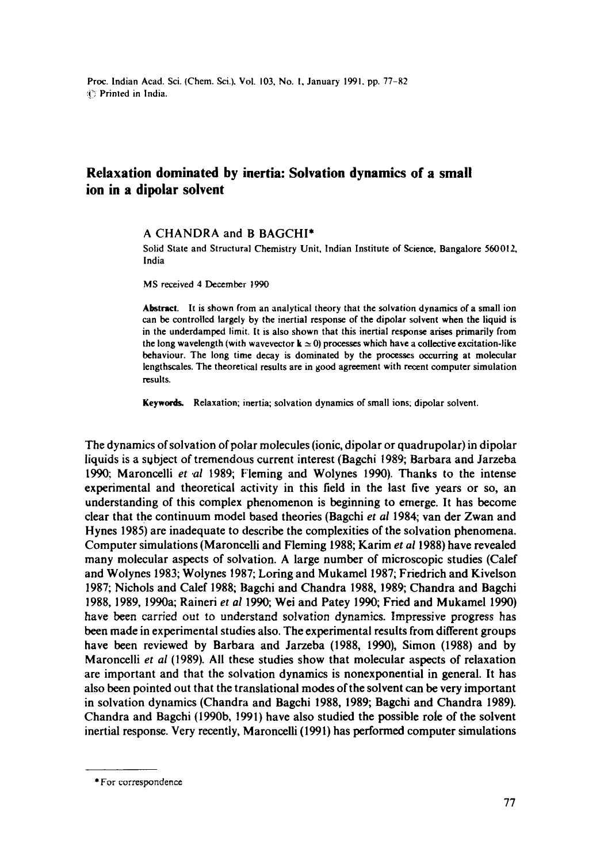## **Relaxation dominated by inertia: Solvation dynamics of a small ion in a dipolar solvent**

## **A** CHANDRA and B BAGCHI\*

Solid State and Structural Chemistry Unit, Indian Institute of Science, Bangalore 560012, India

MS received 4 December 1990

Abstract. It is shown from an analytical theory that the solvation dynamics of a small ion can be controlled largely by the inertial response of the dipolar solvent when the liquid is in the underdampcd limit, It is also shown that this inertial response arises primarily from the long wavelength (with wavevector  $k \approx 0$ ) processes which have a collective excitation-like behaviour. The long time decay is dominated by the processes occurring at molecular lengthscales. The theoretical results are in good agreement with recent computer simulation results.

Keywords. Relaxation; inertia; solvation dynamics of small ions; dipolar solvent.

The dynamics of solvation of polar molecules (ionic, dipolar or quadrupolar) in dipolar liquids is a subject of tremendous current interest (Bagchi 1989; Barbara and Jarzeba 1990; Maroncelli *et .al* 1989; Fleming and Wolynes 1990). Thanks to the intense experimental and theoretical activity in this field in the last five years or so, an understanding of this complex phenomenon is beginning to emerge. It has become clear that the continuum model based theories (Bagchi *et ai* 1984; van der Zwan and Hynes 1985) are inadequate to describe the complexities of the solvation phenomena. Computer simulations (Maroncelli and Fleming 1988; Karim *et ai* 1988) have revealed many molecular aspects of solvation. A large number of microscopic studies (Calef and Wolynes 1983; Wolynes 1987; Loring and Mukamel 1987; Friedrich and Kivelson 1987; Nichols and Calef 1988; Bagchi and Chandra 1988, 1989; Chandra and Bagchi 1988, 1989, 1990a; Raineri et al 1990; Wei and Patey 1990; Fried and Mukamel 1990) have been carried out to understand solvation dynamics. Impressive progress has been made in experimental studies also. The experimental results from different groups have been reviewed by Barbara and Jarzeba (1988, 1990), Simon (1988) and by Maroncelli *et al* (1989). All these studies show that molecular aspects of relaxation are important and that the solvation dynamics is nonexponential in general. It has also been pointed out that the translational modes ofthe solvent can be very important in solvation dynamics (Chandra and Bagchi 1988, 1989; Bagchi and Chandra 1989). Chandra and Bagchi (1990b, 1991) have also studied the possible role of the solvent inertial response. Very recently, Maroncelli (1991) has performed computer simulations

<sup>\*</sup> For correspondence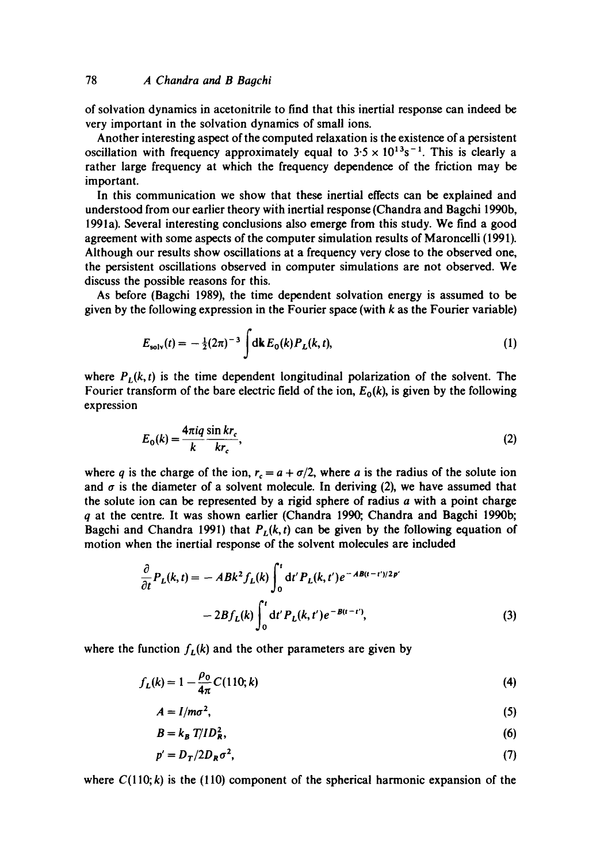of solvation dynamics in acetonitrile to find that this inertial response can indeed be very important in the solvation dynamics of small ions.

Another interesting aspect of the computed relaxation is the existence of a persistent oscillation with frequency approximately equal to  $3.5 \times 10^{13} s^{-1}$ . This is clearly a rather large frequency at which the frequency dependence of the friction may be important.

In this communication we show that these inertial effects can be explained and understood from our earlier theory with inertial response (Chandra and Bagchi 1990b, 1991a). Several interesting conclusions also emerge from this study. We find a good agreement with some aspects of the computer simulation results of Maroncelli (1991). Although our results show oscillations at a frequency very close to the observed one, the persistent oscillations observed in computer simulations are not observed. We discuss the possible reasons for this.

As before (Bagchi 1989), the time dependent solvation energy is assumed to be given by the following expression in the Fourier space (with  $k$  as the Fourier variable)

$$
E_{\text{solv}}(t) = -\frac{1}{2}(2\pi)^{-3} \int \mathrm{d}\mathbf{k} \, E_0(k) P_L(k, t), \tag{1}
$$

where  $P_L(k, t)$  is the time dependent longitudinal polarization of the solvent. The Fourier transform of the bare electric field of the ion,  $E_0(k)$ , is given by the following expression

$$
E_0(k) = \frac{4\pi i q \sin kr_c}{k r_c},
$$
\n(2)

where q is the charge of the ion,  $r_c = a + \sigma/2$ , where a is the radius of the solute ion and  $\sigma$  is the diameter of a solvent molecule. In deriving (2), we have assumed that the solute ion can be represented by a rigid sphere of radius  $a$  with a point charge q at the centre. It was shown earlier (Chandra 1990, Chandra and Bagehi 1990b; Bagchi and Chandra 1991) that  $P_L(k, t)$  can be given by the following equation of motion when the inertial response of the solvent molecules are included

$$
\frac{\partial}{\partial t}P_L(k,t) = -ABk^2 f_L(k)\int_0^t dt' P_L(k,t')e^{-AB(t-t')/2p'}-2Bf_L(k)\int_0^t dt' P_L(k,t')e^{-B(t-t')},
$$
\n(3)

where the function  $f_L(k)$  and the other parameters are given by

$$
f_L(k) = 1 - \frac{\rho_0}{4\pi} C(110; k)
$$
 (4)

$$
A = I/m\sigma^2,\tag{5}
$$

$$
B = k_B T / ID_R^2, \tag{6}
$$

$$
p' = D_T / 2D_R \sigma^2, \tag{7}
$$

where  $C(110; k)$  is the (110) component of the spherical harmonic expansion of the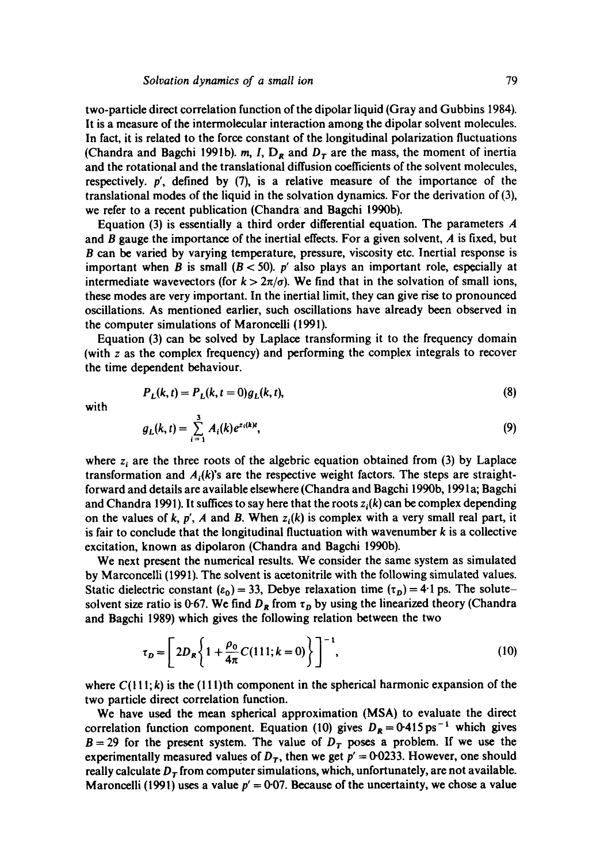two-particle direct correlation function of the dipolar liquid (Gray and Gubbins 1984). It is a measure of the intermolecular interaction among the dipolar solvent molecules. In fact, it is related to the force constant of the longitudinal polarization fluctuations (Chandra and Bagchi 1991b). m, I,  $D_R$  and  $D_T$  are the mass, the moment of inertia and the rotational and the translational diffusion coefficients of the solvent molecules, respectively, p', defined by (7), is a relative measure of the importance of the translational modes of the liquid in the solvation dynamics. For the derivation of (3), we refer to a recent publication (Chandra and Bagchi 1990b).

Equation (3) is essentially a third order differential equation. The parameters  $\boldsymbol{A}$ and B gauge the importance of the inertial effects. For a given solvent,  $\vec{A}$  is fixed, but B can be varied by varying temperature, pressure, viscosity etc. Inertial response is important when B is small  $(B < 50)$ . p' also plays an important role, especially at intermediate wavevectors (for  $k > 2\pi/\sigma$ ). We find that in the solvation of small ions, these modes are very important. In the inertial limit, they can give rise to pronounced oscillations. As mentioned earlier, such oscillations have already been observed in the computer simulations of Maroneelli (1991).

Equation (3) can be solved by Laplace transforming it to the frequency domain (with z as the complex frequency) and performing the complex integrals to recover the time dependent behaviour.

$$
P_L(k, t) = P_L(k, t = 0)g_L(k, t),
$$
\n(8)

with

$$
g_L(k,t) = \sum_{i=1}^3 A_i(k) e^{z_i(k)t}, \qquad (9)
$$

where  $z_i$  are the three roots of the algebric equation obtained from (3) by Laplace transformation and  $A_i(k)$ 's are the respective weight factors. The steps are straightforward and details are available elsewhere (Chandra and Bagchi 1990b, 1991a; Bagchi and Chandra 1991). It suffices to say here that the roots  $z<sub>i</sub>(k)$  can be complex depending on the values of k, p', A and B. When  $z<sub>i</sub>(k)$  is complex with a very small real part, it is fair to conclude that the longitudinal fluctuation with wavenumber  $k$  is a collective excitation, known as dipolaron (Chandra and Bagchi 1990b).

We next present the numerical results. We consider the same system as simulated by Marconcelli (1991). The solvent is acetonitrile with the following simulated values. Static dielectric constant ( $\varepsilon_0$ ) = 33, Debye relaxation time ( $\tau_D$ ) = 4.1 ps. The solutesolvent size ratio is 0-67. We find  $D_R$  from  $\tau_D$  by using the linearized theory (Chandra and Bagchi 1989) which gives the following relation between the two

$$
\tau_D = \left[ 2D_R \left\{ 1 + \frac{\rho_0}{4\pi} C (111; k = 0) \right\} \right]^{-1},\tag{10}
$$

where  $C(111; k)$  is the (111)th component in the spherical harmonic expansion of the two particle direct correlation function.

We have used the mean spherical approximation (MSA) to evaluate the direct correlation function component. Equation (10) gives  $D_R = 0.415 \text{ ps}^{-1}$  which gives  $B = 29$  for the present system. The value of  $D<sub>T</sub>$  poses a problem. If we use the experimentally measured values of  $D<sub>r</sub>$ , then we get  $p' = 0.0233$ . However, one should really calculate  $D_T$  from computer simulations, which, unfortunately, are not available. Maroncelli (1991) uses a value  $p' = 0.07$ . Because of the uncertainty, we chose a value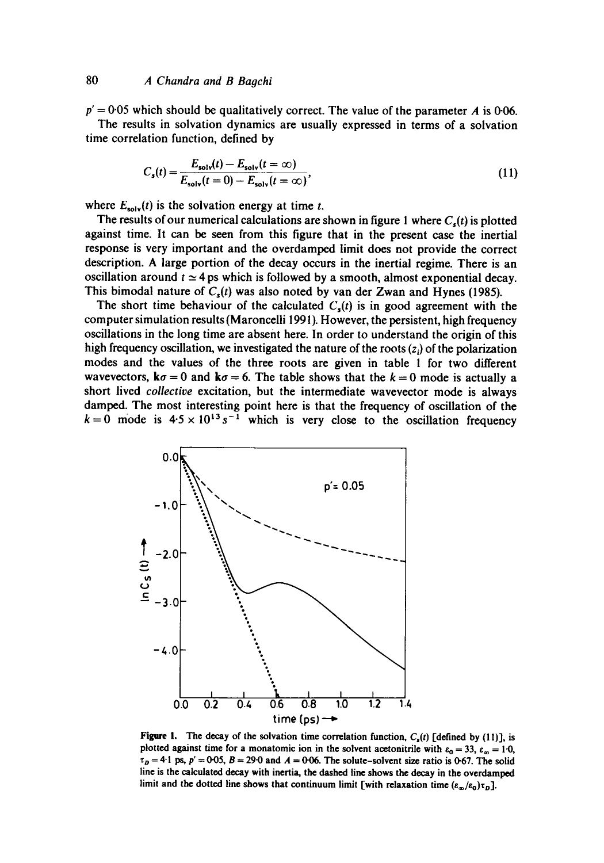## 80 *A Chandra and B Bagchi*

 $p' = 0.05$  which should be qualitatively correct. The value of the parameter A is 0.06. The results in solvation dynamics are usually expressed in terms of a solvation time correlation function, defined by

$$
C_{s}(t) = \frac{E_{\text{solv}}(t) - E_{\text{solv}}(t = \infty)}{E_{\text{solv}}(t = 0) - E_{\text{solv}}(t = \infty)},
$$
\n(11)

where  $E_{solv}(t)$  is the solvation energy at time t.

The results of our numerical calculations are shown in figure 1 where  $C<sub>s</sub>(t)$  is plotted against time. It can be seen from this figure that in the present case the inertial response is very important and the overdamped limit does not provide the correct description. A large portion of the decay occurs in the inertial regime. There is an oscillation around  $t \approx 4$  ps which is followed by a smooth, almost exponential decay. This bimodal nature of  $C<sub>s</sub>(t)$  was also noted by van der Zwan and Hynes (1985).

The short time behaviour of the calculated  $C<sub>s</sub>(t)$  is in good agreement with the computer simulation results (Maroncelli 1991). However, the persistent, high frequency oscillations in the long time are absent here. In order to understand the origin of this high frequency oscillation, we investigated the nature of the roots  $(z_i)$  of the polarization modes and the values of the three roots are given in table 1 for two different wavevectors,  $k\sigma = 0$  and  $k\sigma = 6$ . The table shows that the  $k = 0$  mode is actually a short lived *collective* excitation, but the intermediate wavevector mode is always damped. The most interesting point here is that the frequency of oscillation of the  $k=0$  mode is  $4.5 \times 10^{13} s^{-1}$  which is very close to the oscillation frequency



Figure 1. The decay of the solvation time correlation function,  $C_{\rm s}(t)$  [defined by (11)], is plotted against time for a monatomic ion in the solvent acetonitrile with  $\varepsilon_0 = 33$ ,  $\varepsilon_{\infty} = 1.0$ ,  $\tau_p = 4.1$  ps,  $p' = 0.05$ ,  $B = 29.0$  and  $A = 0.06$ . The solute-solvent size ratio is 0.67. The solid line is the calculated decay with inertia, the dashed line shows the decay in the overdamped limit and the dotted line shows that continuum limit [with relaxation time  $(\epsilon_{\infty}/\epsilon_0)\tau_D$ ].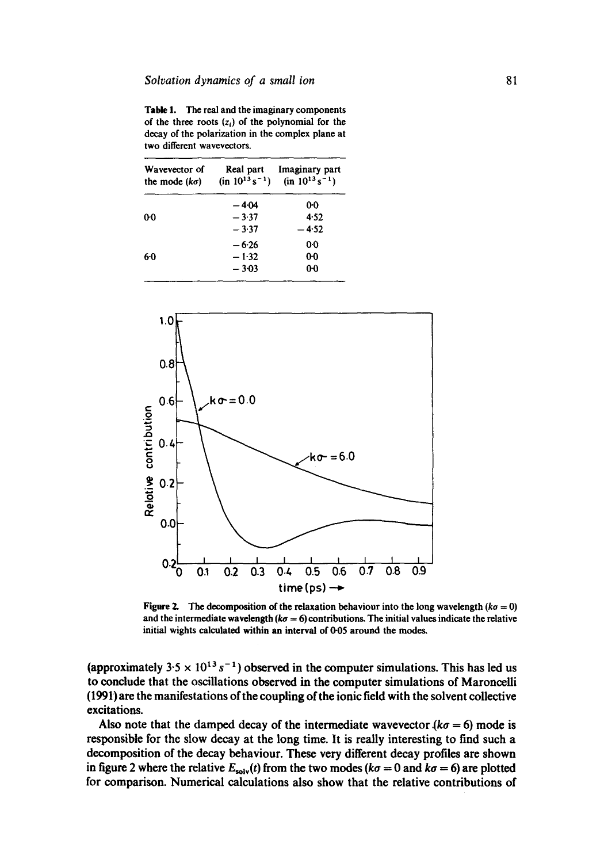**Table 1. The real and the imaginary components**  of the three roots  $(z_i)$  of the polynomial for the **decay of the polarization in the complex plane at two different wavevectors.** 

| Wavevector of<br>the mode $(k\sigma)$ | Real part<br>$(in 10^{13} s^{-1})$ | Imaginary part<br>$(in 10^{13} s^{-1})$ |
|---------------------------------------|------------------------------------|-----------------------------------------|
|                                       | -404                               | 00                                      |
| 00                                    | $-3.37$                            | 4.52                                    |
|                                       | $-3.37$                            | -452                                    |
| 60                                    | $-6.26$                            | 00                                      |
|                                       | $-1.32$                            | 00                                      |
|                                       | $-3 - 03$                          | $0-0$                                   |



**Figure 2.** The decomposition of the relaxation behaviour into the long wavelength  $(k\sigma = 0)$ **and the intermediate wavelength** *(ko =* 6) **contributions. The initial values indicate the relative initial wights calculated within an interval of 0-05 around the** modes.

(approximately  $3.5 \times 10^{13} s^{-1}$ ) observed in the computer simulations. This has led us **to conclude that the oscillations observed in the computer simulations of Maroncelli (1991) are the manifestations of the coupling of the ionic field with the solvent collective excitations.** 

Also note that the damped decay of the intermediate wavevector  $(k\sigma = 6)$  mode is **responsible for the slow decay at the long time. It is really interesting to find such a decomposition of the decay behaviour. These very different decay profiles are shown**  in figure 2 where the relative  $E_{solv}(t)$  from the two modes ( $k\sigma = 0$  and  $k\sigma = 6$ ) are plotted **for comparison. Numerical calculations also show that the relative contributions of**